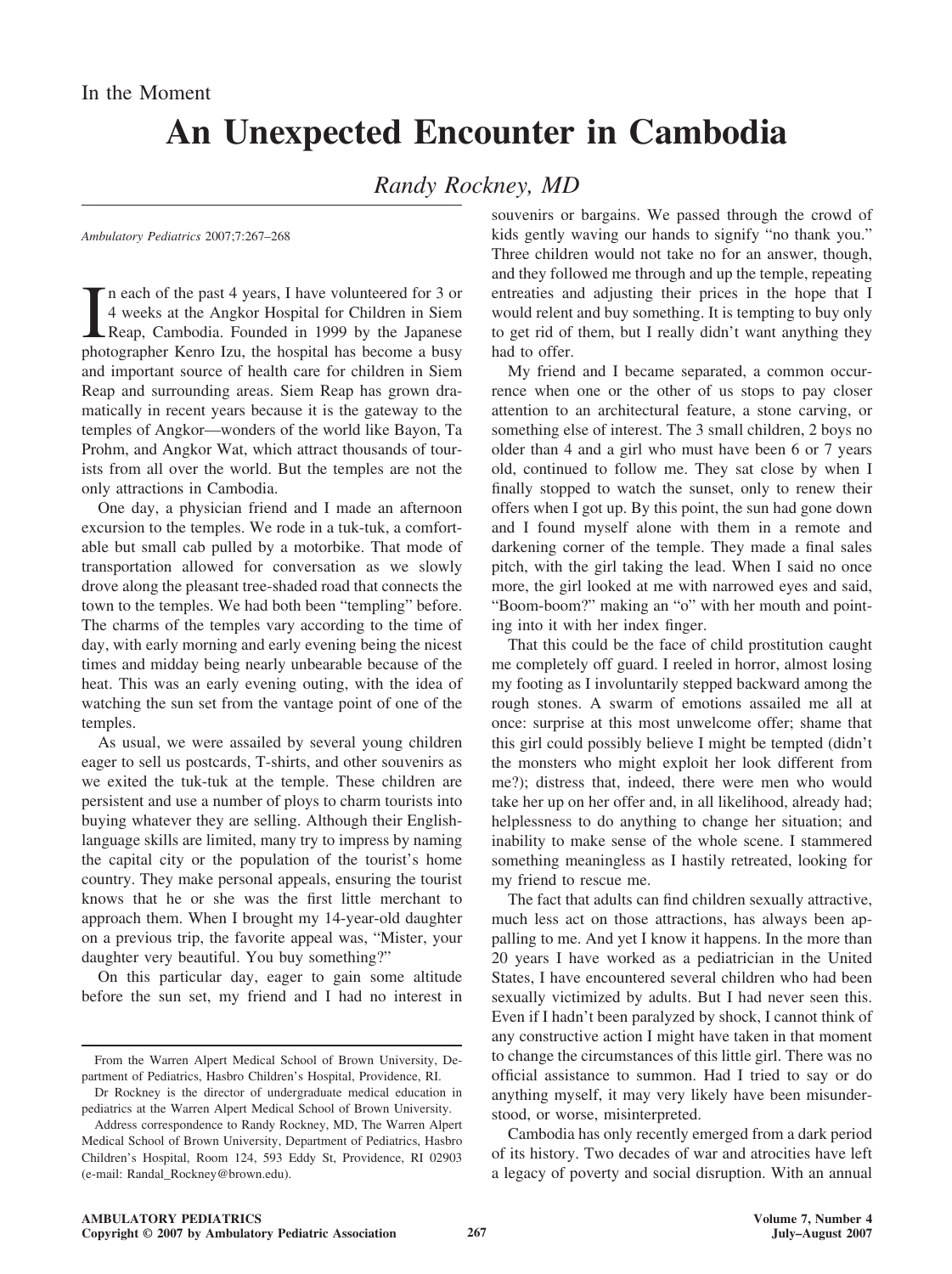## **An Unexpected Encounter in Cambodia**

## *Randy Rockney, MD*

*Ambulatory Pediatrics* 2007;7:267–268

 $\prod_{\text{pho}}$ n each of the past 4 years, I have volunteered for 3 or 4 weeks at the Angkor Hospital for Children in Siem Reap, Cambodia. Founded in 1999 by the Japanese photographer Kenro Izu, the hospital has become a busy and important source of health care for children in Siem Reap and surrounding areas. Siem Reap has grown dramatically in recent years because it is the gateway to the temples of Angkor—wonders of the world like Bayon, Ta Prohm, and Angkor Wat, which attract thousands of tourists from all over the world. But the temples are not the only attractions in Cambodia.

One day, a physician friend and I made an afternoon excursion to the temples. We rode in a tuk-tuk, a comfortable but small cab pulled by a motorbike. That mode of transportation allowed for conversation as we slowly drove along the pleasant tree-shaded road that connects the town to the temples. We had both been "templing" before. The charms of the temples vary according to the time of day, with early morning and early evening being the nicest times and midday being nearly unbearable because of the heat. This was an early evening outing, with the idea of watching the sun set from the vantage point of one of the temples.

As usual, we were assailed by several young children eager to sell us postcards, T-shirts, and other souvenirs as we exited the tuk-tuk at the temple. These children are persistent and use a number of ploys to charm tourists into buying whatever they are selling. Although their Englishlanguage skills are limited, many try to impress by naming the capital city or the population of the tourist's home country. They make personal appeals, ensuring the tourist knows that he or she was the first little merchant to approach them. When I brought my 14-year-old daughter on a previous trip, the favorite appeal was, "Mister, your daughter very beautiful. You buy something?"

On this particular day, eager to gain some altitude before the sun set, my friend and I had no interest in

souvenirs or bargains. We passed through the crowd of kids gently waving our hands to signify "no thank you." Three children would not take no for an answer, though, and they followed me through and up the temple, repeating entreaties and adjusting their prices in the hope that I would relent and buy something. It is tempting to buy only to get rid of them, but I really didn't want anything they had to offer.

My friend and I became separated, a common occurrence when one or the other of us stops to pay closer attention to an architectural feature, a stone carving, or something else of interest. The 3 small children, 2 boys no older than 4 and a girl who must have been 6 or 7 years old, continued to follow me. They sat close by when I finally stopped to watch the sunset, only to renew their offers when I got up. By this point, the sun had gone down and I found myself alone with them in a remote and darkening corner of the temple. They made a final sales pitch, with the girl taking the lead. When I said no once more, the girl looked at me with narrowed eyes and said, "Boom-boom?" making an "o" with her mouth and pointing into it with her index finger.

That this could be the face of child prostitution caught me completely off guard. I reeled in horror, almost losing my footing as I involuntarily stepped backward among the rough stones. A swarm of emotions assailed me all at once: surprise at this most unwelcome offer; shame that this girl could possibly believe I might be tempted (didn't the monsters who might exploit her look different from me?); distress that, indeed, there were men who would take her up on her offer and, in all likelihood, already had; helplessness to do anything to change her situation; and inability to make sense of the whole scene. I stammered something meaningless as I hastily retreated, looking for my friend to rescue me.

The fact that adults can find children sexually attractive, much less act on those attractions, has always been appalling to me. And yet I know it happens. In the more than 20 years I have worked as a pediatrician in the United States, I have encountered several children who had been sexually victimized by adults. But I had never seen this. Even if I hadn't been paralyzed by shock, I cannot think of any constructive action I might have taken in that moment to change the circumstances of this little girl. There was no official assistance to summon. Had I tried to say or do anything myself, it may very likely have been misunderstood, or worse, misinterpreted.

Cambodia has only recently emerged from a dark period of its history. Two decades of war and atrocities have left a legacy of poverty and social disruption. With an annual

From the Warren Alpert Medical School of Brown University, Department of Pediatrics, Hasbro Children's Hospital, Providence, RI.

Dr Rockney is the director of undergraduate medical education in pediatrics at the Warren Alpert Medical School of Brown University.

Address correspondence to Randy Rockney, MD, The Warren Alpert Medical School of Brown University, Department of Pediatrics, Hasbro Children's Hospital, Room 124, 593 Eddy St, Providence, RI 02903 (e-mail: Randal\_Rockney@brown.edu).